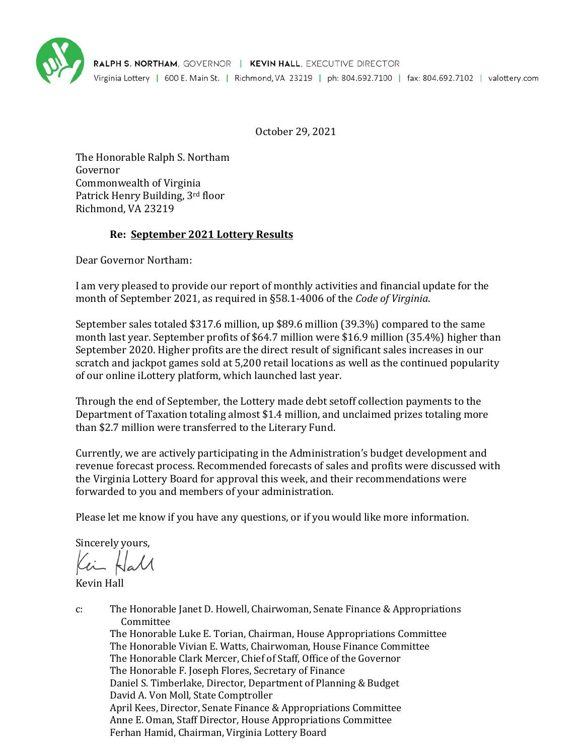

October 29, 2021

The Honorable Ralph S. Northam Governor Commonwealth of Virginia Patrick Henry Building, 3rd floor Richmond, VA 23219

# **Re: September 2021 Lottery Results**

Dear Governor Northam:

I am very pleased to provide our report of monthly activities and financial update for the month of September 2021, as required in §58.1-4006 of the *Code of Virginia*.

September sales totaled \$317.6 million, up \$89.6 million (39.3%) compared to the same month last year. September profits of \$64.7 million were \$16.9 million (35.4%) higher than September 2020. Higher profits are the direct result of significant sales increases in our scratch and jackpot games sold at 5,200 retail locations as well as the continued popularity of our online iLottery platform, which launched last year.

Through the end of September, the Lottery made debt setoff collection payments to the Department of Taxation totaling almost \$1.4 million, and unclaimed prizes totaling more than \$2.7 million were transferred to the Literary Fund.

Currently, we are actively participating in the Administration's budget development and revenue forecast process. Recommended forecasts of sales and profits were discussed with the Virginia Lottery Board for approval this week, and their recommendations were forwarded to you and members of your administration.

Please let me know if you have any questions, or if you would like more information.

Sincerely yours,

Kevin Hall

c: The Honorable Janet D. Howell, Chairwoman, Senate Finance & Appropriations Committee The Honorable Luke E. Torian, Chairman, House Appropriations Committee The Honorable Vivian E. Watts, Chairwoman, House Finance Committee The Honorable Clark Mercer, Chief of Staff, Office of the Governor The Honorable F. Joseph Flores, Secretary of Finance Daniel S. Timberlake, Director, Department of Planning & Budget David A. Von Moll, State Comptroller April Kees, Director, Senate Finance & Appropriations Committee Anne E. Oman, Staff Director, House Appropriations Committee Ferhan Hamid, Chairman, Virginia Lottery Board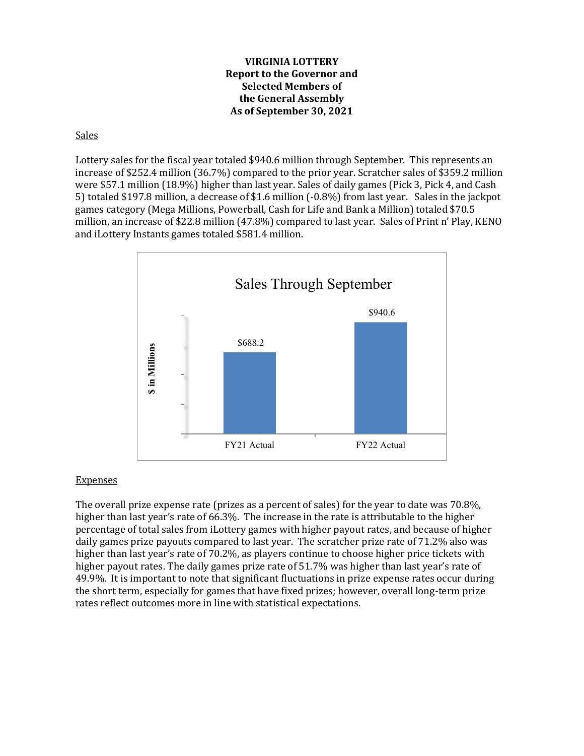## **VIRGINIA LOTTERY Report to the Governor and Selected Members of the General Assembly As of September 30, 2021**

Sales

Lottery sales for the fiscal year totaled \$940.6 million through September. This represents an increase of \$252.4 million (36.7%) compared to the prior year. Scratcher sales of \$359.2 million were \$57.1 million (18.9%) higher than last year. Sales of daily games (Pick 3, Pick 4, and Cash 5) totaled \$197.8 million, a decrease of \$1.6 million (-0.8%) from last year. Sales in the jackpot games category (Mega Millions, Powerball, Cash for Life and Bank a Million) totaled \$70.5 million, an increase of \$22.8 million (47.8%) compared to last year. Sales of Print n' Play, KENO and iLottery Instants games totaled \$581.4 million.



## **Expenses**

The overall prize expense rate (prizes as a percent of sales) for the year to date was 70.8%, higher than last year's rate of 66.3%. The increase in the rate is attributable to the higher percentage of total sales from iLottery games with higher payout rates, and because of higher daily games prize payouts compared to last year. The scratcher prize rate of 71.2% also was higher than last year's rate of 70.2%, as players continue to choose higher price tickets with higher payout rates. The daily games prize rate of 51.7% was higher than last year's rate of 49.9%. It is important to note that significant fluctuations in prize expense rates occur during the short term, especially for games that have fixed prizes; however, overall long-term prize rates reflect outcomes more in line with statistical expectations.